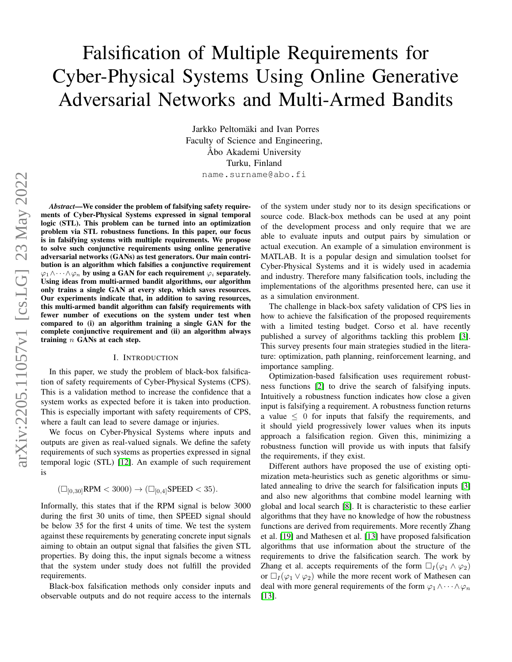# Falsification of Multiple Requirements for Cyber-Physical Systems Using Online Generative Adversarial Networks and Multi-Armed Bandits

Jarkko Peltomäki and Ivan Porres Faculty of Science and Engineering, Åbo Akademi University Turku, Finland name.surname@abo.fi

*Abstract*—We consider the problem of falsifying safety requirements of Cyber-Physical Systems expressed in signal temporal logic (STL). This problem can be turned into an optimization problem via STL robustness functions. In this paper, our focus is in falsifying systems with multiple requirements. We propose to solve such conjunctive requirements using online generative adversarial networks (GANs) as test generators. Our main contribution is an algorithm which falsifies a conjunctive requirement  $\varphi_1 \wedge \cdots \wedge \varphi_n$  by using a GAN for each requirement  $\varphi_i$  separately. Using ideas from multi-armed bandit algorithms, our algorithm only trains a single GAN at every step, which saves resources. Our experiments indicate that, in addition to saving resources, this multi-armed bandit algorithm can falsify requirements with fewer number of executions on the system under test when compared to (i) an algorithm training a single GAN for the complete conjunctive requirement and (ii) an algorithm always training  $n$  GANs at each step.

### I. INTRODUCTION

In this paper, we study the problem of black-box falsification of safety requirements of Cyber-Physical Systems (CPS). This is a validation method to increase the confidence that a system works as expected before it is taken into production. This is especially important with safety requirements of CPS, where a fault can lead to severe damage or injuries.

We focus on Cyber-Physical Systems where inputs and outputs are given as real-valued signals. We define the safety requirements of such systems as properties expressed in signal temporal logic (STL) [\[12\]](#page-7-0). An example of such requirement is

$$
(\Box_{[0,30]}RPM < 3000) \to (\Box_{[0,4]}SPEED < 35).
$$

Informally, this states that if the RPM signal is below 3000 during the first 30 units of time, then SPEED signal should be below 35 for the first 4 units of time. We test the system against these requirements by generating concrete input signals aiming to obtain an output signal that falsifies the given STL properties. By doing this, the input signals become a witness that the system under study does not fulfill the provided requirements.

Black-box falsification methods only consider inputs and observable outputs and do not require access to the internals

of the system under study nor to its design specifications or source code. Black-box methods can be used at any point of the development process and only require that we are able to evaluate inputs and output pairs by simulation or actual execution. An example of a simulation environment is MATLAB. It is a popular design and simulation toolset for Cyber-Physical Systems and it is widely used in academia and industry. Therefore many falsification tools, including the implementations of the algorithms presented here, can use it as a simulation environment.

The challenge in black-box safety validation of CPS lies in how to achieve the falsification of the proposed requirements with a limited testing budget. Corso et al. have recently published a survey of algorithms tackling this problem [\[3\]](#page-6-0). This survey presents four main strategies studied in the literature: optimization, path planning, reinforcement learning, and importance sampling.

Optimization-based falsification uses requirement robustness functions [\[2\]](#page-6-1) to drive the search of falsifying inputs. Intuitively a robustness function indicates how close a given input is falsifying a requirement. A robustness function returns a value  $\leq 0$  for inputs that falsify the requirements, and it should yield progressively lower values when its inputs approach a falsification region. Given this, minimizing a robustness function will provide us with inputs that falsify the requirements, if they exist.

Different authors have proposed the use of existing optimization meta-heuristics such as genetic algorithms or simulated annealing to drive the search for falsification inputs [\[3\]](#page-6-0) and also new algorithms that combine model learning with global and local search [\[8\]](#page-6-2). It is characteristic to these earlier algorithms that they have no knowledge of how the robustness functions are derived from requirements. More recently Zhang et al. [\[19\]](#page-7-1) and Mathesen et al. [\[13\]](#page-7-2) have proposed falsification algorithms that use information about the structure of the requirements to drive the falsification search. The work by Zhang et al. accepts requirements of the form  $\Box_I(\varphi_1 \land \varphi_2)$ or  $\Box_I(\varphi_1 \lor \varphi_2)$  while the more recent work of Mathesen can deal with more general requirements of the form  $\varphi_1 \wedge \cdots \wedge \varphi_n$ [\[13\]](#page-7-2).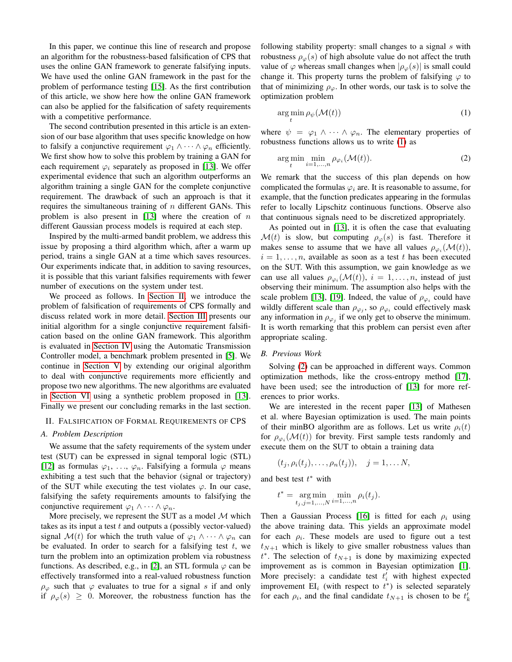In this paper, we continue this line of research and propose an algorithm for the robustness-based falsification of CPS that uses the online GAN framework to generate falsifying inputs. We have used the online GAN framework in the past for the problem of performance testing [\[15\]](#page-7-3). As the first contribution of this article, we show here how the online GAN framework can also be applied for the falsification of safety requirements with a competitive performance.

The second contribution presented in this article is an extension of our base algorithm that uses specific knowledge on how to falsify a conjunctive requirement  $\varphi_1 \wedge \cdots \wedge \varphi_n$  efficiently. We first show how to solve this problem by training a GAN for each requirement  $\varphi_i$  separately as proposed in [\[13\]](#page-7-2). We offer experimental evidence that such an algorithm outperforms an algorithm training a single GAN for the complete conjunctive requirement. The drawback of such an approach is that it requires the simultaneous training of  $n$  different GANs. This problem is also present in [\[13\]](#page-7-2) where the creation of  $n$ different Gaussian process models is required at each step.

Inspired by the multi-armed bandit problem, we address this issue by proposing a third algorithm which, after a warm up period, trains a single GAN at a time which saves resources. Our experiments indicate that, in addition to saving resources, it is possible that this variant falsifies requirements with fewer number of executions on the system under test.

We proceed as follows. In [Section II,](#page-1-0) we introduce the problem of falsification of requirements of CPS formally and discuss related work in more detail. [Section III](#page-2-0) presents our initial algorithm for a single conjunctive requirement falsification based on the online GAN framework. This algorithm is evaluated in [Section IV](#page-3-0) using the Automatic Transmission Controller model, a benchmark problem presented in [\[5\]](#page-6-3). We continue in [Section V](#page-4-0) by extending our original algorithm to deal with conjunctive requirements more efficiently and propose two new algorithms. The new algorithms are evaluated in [Section VI](#page-4-1) using a synthetic problem proposed in [\[13\]](#page-7-2). Finally we present our concluding remarks in the last section.

#### <span id="page-1-0"></span>II. FALSIFICATION OF FORMAL REQUIREMENTS OF CPS

#### *A. Problem Description*

We assume that the safety requirements of the system under test (SUT) can be expressed in signal temporal logic (STL) [\[12\]](#page-7-0) as formulas  $\varphi_1, \ldots, \varphi_n$ . Falsifying a formula  $\varphi$  means exhibiting a test such that the behavior (signal or trajectory) of the SUT while executing the test violates  $\varphi$ . In our case, falsifying the safety requirements amounts to falsifying the conjunctive requirement  $\varphi_1 \wedge \cdots \wedge \varphi_n$ .

More precisely, we represent the SUT as a model  $M$  which takes as its input a test  $t$  and outputs a (possibly vector-valued) signal  $\mathcal{M}(t)$  for which the truth value of  $\varphi_1 \wedge \cdots \wedge \varphi_n$  can be evaluated. In order to search for a falsifying test  $t$ , we turn the problem into an optimization problem via robustness functions. As described, e.g., in [\[2\]](#page-6-1), an STL formula  $\varphi$  can be effectively transformed into a real-valued robustness function  $\rho_{\varphi}$  such that  $\varphi$  evaluates to true for a signal s if and only if  $\rho_{\varphi}(s) \geq 0$ . Moreover, the robustness function has the following stability property: small changes to a signal  $s$  with robustness  $\rho_{\varphi}(s)$  of high absolute value do not affect the truth value of  $\varphi$  whereas small changes when  $|\rho_{\varphi}(s)|$  is small could change it. This property turns the problem of falsifying  $\varphi$  to that of minimizing  $\rho_{\varphi}$ . In other words, our task is to solve the optimization problem

<span id="page-1-1"></span>
$$
\arg\min_{t} \rho_{\psi}(\mathcal{M}(t))
$$
\n(1)

where  $\psi = \varphi_1 \wedge \cdots \wedge \varphi_n$ . The elementary properties of robustness functions allows us to write [\(1\)](#page-1-1) as

<span id="page-1-2"></span>
$$
\underset{t}{\arg\min} \min_{i=1,\ldots,n} \rho_{\varphi_i}(\mathcal{M}(t)).\tag{2}
$$

We remark that the success of this plan depends on how complicated the formulas  $\varphi_i$  are. It is reasonable to assume, for example, that the function predicates appearing in the formulas refer to locally Lipschitz continuous functions. Observe also that continuous signals need to be discretized appropriately.

As pointed out in [\[13\]](#page-7-2), it is often the case that evaluating  $\mathcal{M}(t)$  is slow, but computing  $\rho_{\varphi}(s)$  is fast. Therefore it makes sense to assume that we have all values  $\rho_{\varphi_i}(\mathcal{M}(t)),$  $i = 1, \ldots, n$ , available as soon as a test t has been executed on the SUT. With this assumption, we gain knowledge as we can use all values  $\rho_{\varphi_i}(\mathcal{M}(t)), i = 1, \ldots, n$ , instead of just observing their minimum. The assumption also helps with the scale problem [\[13\]](#page-7-2), [\[19\]](#page-7-1). Indeed, the value of  $\rho_{\varphi_i}$  could have wildly different scale than  $\rho_{\varphi_j}$ , so  $\rho_{\varphi_i}$  could effectively mask any information in  $\rho_{\varphi_j}$  if we only get to observe the minimum. It is worth remarking that this problem can persist even after appropriate scaling.

#### *B. Previous Work*

Solving [\(2\)](#page-1-2) can be approached in different ways. Common optimization methods, like the cross-entropy method [\[17\]](#page-7-4), have been used; see the introduction of [\[13\]](#page-7-2) for more references to prior works.

We are interested in the recent paper [\[13\]](#page-7-2) of Mathesen et al. where Bayesian optimization is used. The main points of their minBO algorithm are as follows. Let us write  $\rho_i(t)$ for  $\rho_{\varphi_i}(\mathcal{M}(t))$  for brevity. First sample tests randomly and execute them on the SUT to obtain a training data

$$
(t_j, \rho_i(t_j), \ldots, \rho_n(t_j)), \quad j = 1, \ldots N,
$$

and best test  $t^*$  with

$$
t^* = \underset{t_j, j=1,...,N}{\arg \min} \underset{i=1,...,n}{\min} \rho_i(t_j).
$$

Then a Gaussian Process [\[16\]](#page-7-5) is fitted for each  $\rho_i$  using the above training data. This yields an approximate model for each  $\rho_i$ . These models are used to figure out a test  $t_{N+1}$  which is likely to give smaller robustness values than  $t^*$ . The selection of  $t_{N+1}$  is done by maximizing expected improvement as is common in Bayesian optimization [\[1\]](#page-6-4). More precisely: a candidate test  $t_i'$  with highest expected improvement  $EI_i$  (with respect to  $t^*$ ) is selected separately for each  $\rho_i$ , and the final candidate  $t_{N+1}$  is chosen to be  $t'_{k}$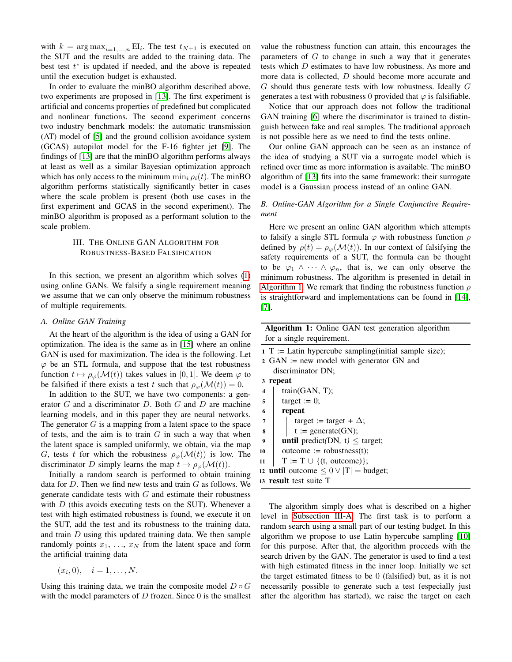with  $k = \arg \max_{i=1,...,n} EI_i$ . The test  $t_{N+1}$  is executed on the SUT and the results are added to the training data. The best test  $t^*$  is updated if needed, and the above is repeated until the execution budget is exhausted.

In order to evaluate the minBO algorithm described above, two experiments are proposed in [\[13\]](#page-7-2). The first experiment is artificial and concerns properties of predefined but complicated and nonlinear functions. The second experiment concerns two industry benchmark models: the automatic transmission (AT) model of [\[5\]](#page-6-3) and the ground collision avoidance system (GCAS) autopilot model for the F-16 fighter jet [\[9\]](#page-6-5). The findings of [\[13\]](#page-7-2) are that the minBO algorithm performs always at least as well as a similar Bayesian optimization approach which has only access to the minimum  $\min_i \rho_i(t)$ . The minBO algorithm performs statistically significantly better in cases where the scale problem is present (both use cases in the first experiment and GCAS in the second experiment). The minBO algorithm is proposed as a performant solution to the scale problem.

## <span id="page-2-0"></span>III. THE ONLINE GAN ALGORITHM FOR ROBUSTNESS-BASED FALSIFICATION

In this section, we present an algorithm which solves [\(1\)](#page-1-1) using online GANs. We falsify a single requirement meaning we assume that we can only observe the minimum robustness of multiple requirements.

#### <span id="page-2-2"></span>*A. Online GAN Training*

At the heart of the algorithm is the idea of using a GAN for optimization. The idea is the same as in [\[15\]](#page-7-3) where an online GAN is used for maximization. The idea is the following. Let  $\varphi$  be an STL formula, and suppose that the test robustness function  $t \mapsto \rho_{\varphi}(\mathcal{M}(t))$  takes values in [0, 1]. We deem  $\varphi$  to be falsified if there exists a test t such that  $\rho_{\varphi}(\mathcal{M}(t)) = 0$ .

In addition to the SUT, we have two components: a generator  $G$  and a discriminator  $D$ . Both  $G$  and  $D$  are machine learning models, and in this paper they are neural networks. The generator  $G$  is a mapping from a latent space to the space of tests, and the aim is to train  $G$  in such a way that when the latent space is sampled uniformly, we obtain, via the map G, tests t for which the robustness  $\rho_{\varphi}(\mathcal{M}(t))$  is low. The discriminator D simply learns the map  $t \mapsto \rho_{\varphi}(\mathcal{M}(t)).$ 

Initially a random search is performed to obtain training data for  $D$ . Then we find new tests and train  $G$  as follows. We generate candidate tests with  $G$  and estimate their robustness with  $D$  (this avoids executing tests on the SUT). Whenever a test with high estimated robustness is found, we execute it on the SUT, add the test and its robustness to the training data, and train  $D$  using this updated training data. We then sample randomly points  $x_1, \ldots, x_N$  from the latent space and form the artificial training data

$$
(x_i,0),\quad i=1,\ldots,N.
$$

Using this training data, we train the composite model  $D \circ G$ with the model parameters of  $D$  frozen. Since  $0$  is the smallest

value the robustness function can attain, this encourages the parameters of  $G$  to change in such a way that it generates tests which D estimates to have low robustness. As more and more data is collected, D should become more accurate and G should thus generate tests with low robustness. Ideally G generates a test with robustness 0 provided that  $\varphi$  is falsifiable.

Notice that our approach does not follow the traditional GAN training [\[6\]](#page-6-6) where the discriminator is trained to distinguish between fake and real samples. The traditional approach is not possible here as we need to find the tests online.

Our online GAN approach can be seen as an instance of the idea of studying a SUT via a surrogate model which is refined over time as more information is available. The minBO algorithm of [\[13\]](#page-7-2) fits into the same framework: their surrogate model is a Gaussian process instead of an online GAN.

## *B. Online-GAN Algorithm for a Single Conjunctive Requirement*

Here we present an online GAN algorithm which attempts to falsify a single STL formula  $\varphi$  with robustness function  $\rho$ defined by  $\rho(t) = \rho_{\varphi}(\mathcal{M}(t))$ . In our context of falsifying the safety requirements of a SUT, the formula can be thought to be  $\varphi_1 \wedge \cdots \wedge \varphi_n$ , that is, we can only observe the minimum robustness. The algorithm is presented in detail in [Algorithm 1.](#page-2-1) We remark that finding the robustness function  $\rho$ is straightforward and implementations can be found in [\[14\]](#page-7-6), [\[7\]](#page-6-7).

| Algorithm 1: Online GAN test generation algorithm        |
|----------------------------------------------------------|
| for a single requirement.                                |
| $1 T :=$ Latin hypercube sampling (initial sample size); |

|                  | $\sim$ 2 GAN := new model with generator GN and     |
|------------------|-----------------------------------------------------|
|                  | discriminator DN;                                   |
|                  | 3 repeat                                            |
| 4                | train(GAN, T);                                      |
| 5                | target := $0$ ;                                     |
| 6                | repeat                                              |
| $\overline{7}$   | target := target + $\Delta$ ;                       |
| 8                | $t := \text{generate}(GN);$                         |
| $\boldsymbol{Q}$ | <b>until</b> predict(DN, t) $\leq$ target;          |
| 10               | $outcome := robustness(t);$                         |
| 11               | $T := T \cup \{(t, outcome)\};$                     |
|                  | 12 <b>until</b> outcome $\leq 0 \vee  T $ = budget; |
|                  | 13 <b>result</b> test suite T                       |

<span id="page-2-1"></span>The algorithm simply does what is described on a higher level in [Subsection III-A.](#page-2-2) The first task is to perform a random search using a small part of our testing budget. In this algorithm we propose to use Latin hypercube sampling [\[10\]](#page-6-8) for this purpose. After that, the algorithm proceeds with the search driven by the GAN. The generator is used to find a test with high estimated fitness in the inner loop. Initially we set the target estimated fitness to be 0 (falsified) but, as it is not necessarily possible to generate such a test (especially just after the algorithm has started), we raise the target on each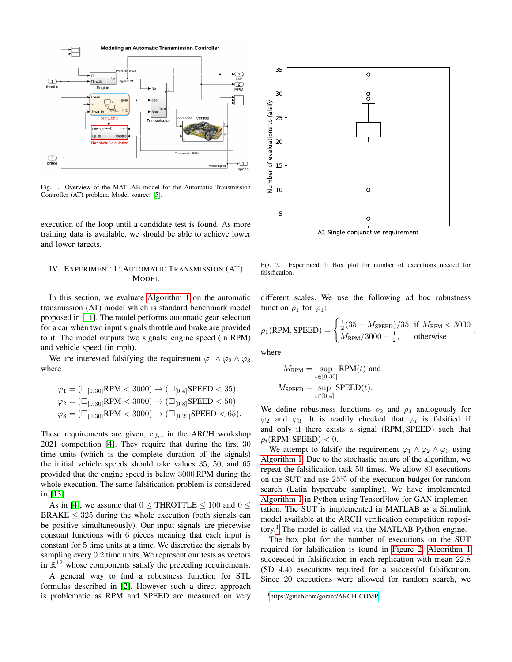

Fig. 1. Overview of the MATLAB model for the Automatic Transmission Controller (AT) problem. Model source: [\[5\]](#page-6-3).

execution of the loop until a candidate test is found. As more training data is available, we should be able to achieve lower and lower targets.

## <span id="page-3-0"></span>IV. EXPERIMENT 1: AUTOMATIC TRANSMISSION (AT) MODEL

In this section, we evaluate [Algorithm 1](#page-2-1) on the automatic transmission (AT) model which is standard benchmark model proposed in [\[11\]](#page-6-9). The model performs automatic gear selection for a car when two input signals throttle and brake are provided to it. The model outputs two signals: engine speed (in RPM) and vehicle speed (in mph).

We are interested falsifying the requirement  $\varphi_1 \wedge \varphi_2 \wedge \varphi_3$ where

$$
\varphi_1 = (\Box_{[0,30]} RPM < 3000) \to (\Box_{[0,4]} SPEED < 35),
$$
\n
$$
\varphi_2 = (\Box_{[0,30]} RPM < 3000) \to (\Box_{[0,8]} SPEED < 50),
$$
\n
$$
\varphi_3 = (\Box_{[0,30]} RPM < 3000) \to (\Box_{[0,20]} SPEED < 65).
$$

These requirements are given, e.g., in the ARCH workshop 2021 competition [\[4\]](#page-6-10). They require that during the first 30 time units (which is the complete duration of the signals) the initial vehicle speeds should take values 35, 50, and 65 provided that the engine speed is below 3000RPM during the whole execution. The same falsification problem is considered in [\[13\]](#page-7-2).

As in [\[4\]](#page-6-10), we assume that  $0 <$  THROTTLE  $< 100$  and  $0 <$  $BRAKE \leq 325$  during the whole execution (both signals can be positive simultaneously). Our input signals are piecewise constant functions with 6 pieces meaning that each input is constant for 5 time units at a time. We discretize the signals by sampling every 0.2 time units. We represent our tests as vectors in  $\mathbb{R}^{12}$  whose components satisfy the preceding requirements.

A general way to find a robustness function for STL formulas described in [\[2\]](#page-6-1). However such a direct approach is problematic as RPM and SPEED are measured on very



<span id="page-3-2"></span>Fig. 2. Experiment 1: Box plot for number of executions needed for falsification.

different scales. We use the following ad hoc robustness function  $\rho_1$  for  $\varphi_1$ :

$$
\rho_1(\text{RPM}, \text{SPEED}) = \begin{cases} \frac{1}{2}(35 - M_{\text{SPEED}})/35, \text{ if } M_{\text{RPM}} < 3000\\ M_{\text{RPM}}/3000 - \frac{1}{2}, \text{ otherwise} \end{cases}
$$

,

where

$$
M_{\text{RPM}} = \sup_{t \in [0,30]} \text{RPM}(t) \text{ and}
$$

$$
M_{\text{SPEED}} = \sup_{t \in [0,4]} \text{SPEED}(t).
$$

We define robustness functions  $\rho_2$  and  $\rho_3$  analogously for  $\varphi_2$  and  $\varphi_3$ . It is readily checked that  $\varphi_i$  is falsified if and only if there exists a signal (RPM, SPEED) such that  $\rho_i(\text{RPM}, \text{SPEED}) < 0.$ 

We attempt to falsify the requirement  $\varphi_1 \wedge \varphi_2 \wedge \varphi_3$  using [Algorithm 1.](#page-2-1) Due to the stochastic nature of the algorithm, we repeat the falsification task 50 times. We allow 80 executions on the SUT and use 25% of the execution budget for random search (Latin hypercube sampling). We have implemented [Algorithm 1](#page-2-1) in Python using TensorFlow for GAN implementation. The SUT is implemented in MATLAB as a Simulink model available at the ARCH verification competition repository.[1](#page-3-1) The model is called via the MATLAB Python engine.

The box plot for the number of executions on the SUT required for falsification is found in [Figure 2.](#page-3-2) [Algorithm 1](#page-2-1) succeeded in falsification in each replication with mean 22.8 (SD 4.4) executions required for a successful falsification. Since 20 executions were allowed for random search, we

<span id="page-3-1"></span><sup>1</sup><https://gitlab.com/goranf/ARCH-COMP>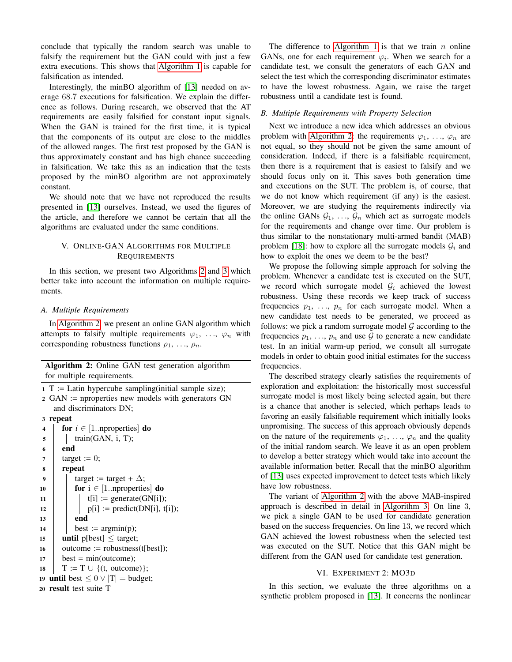conclude that typically the random search was unable to falsify the requirement but the GAN could with just a few extra executions. This shows that [Algorithm 1](#page-2-1) is capable for falsification as intended.

Interestingly, the minBO algorithm of [\[13\]](#page-7-2) needed on average 68.7 executions for falsification. We explain the difference as follows. During research, we observed that the AT requirements are easily falsified for constant input signals. When the GAN is trained for the first time, it is typical that the components of its output are close to the middles of the allowed ranges. The first test proposed by the GAN is thus approximately constant and has high chance succeeding in falsification. We take this as an indication that the tests proposed by the minBO algorithm are not approximately constant.

We should note that we have not reproduced the results presented in [\[13\]](#page-7-2) ourselves. Instead, we used the figures of the article, and therefore we cannot be certain that all the algorithms are evaluated under the same conditions.

## <span id="page-4-0"></span>V. ONLINE-GAN ALGORITHMS FOR MULTIPLE **REQUIREMENTS**

In this section, we present two Algorithms [2](#page-4-2) and [3](#page-5-0) which better take into account the information on multiple requirements.

## *A. Multiple Requirements*

In [Algorithm 2,](#page-4-2) we present an online GAN algorithm which attempts to falsify multiple requirements  $\varphi_1, \ldots, \varphi_n$  with corresponding robustness functions  $\rho_1, \ldots, \rho_n$ .

| Algorithm 2: Online GAN test generation algorithm                     |  |  |  |  |  |  |
|-----------------------------------------------------------------------|--|--|--|--|--|--|
| for multiple requirements.                                            |  |  |  |  |  |  |
| $1 T :=$ Latin hypercube sampling (initial sample size);              |  |  |  |  |  |  |
| $2 \text{ GAN}$ := nproperties new models with generators $\text{GN}$ |  |  |  |  |  |  |
| and discriminators DN;                                                |  |  |  |  |  |  |
| 3 repeat                                                              |  |  |  |  |  |  |
| for $i \in [1n]$ properties $\mathbf{d}$<br>4                         |  |  |  |  |  |  |
| train(GAN, i, T);<br>5                                                |  |  |  |  |  |  |
| end                                                                   |  |  |  |  |  |  |
| target := $0$ ;<br>7                                                  |  |  |  |  |  |  |
| repeat<br>8                                                           |  |  |  |  |  |  |
| target := target + $\Delta$ ;<br>9                                    |  |  |  |  |  |  |
| for $i \in [1n]$ properties do<br>10                                  |  |  |  |  |  |  |
| $t[i] := generate(GN[i]);$<br>11                                      |  |  |  |  |  |  |
| $p[i] := predict(DN[i], t[i]);$<br>12                                 |  |  |  |  |  |  |
| end<br>13                                                             |  |  |  |  |  |  |
| best := $argmin(p)$ ;<br>14                                           |  |  |  |  |  |  |
| <b>until</b> $p[best] \leq target;$                                   |  |  |  |  |  |  |
| $outcome := robustness(t[best])$ ;<br>16                              |  |  |  |  |  |  |
| $best = min(outcome);$                                                |  |  |  |  |  |  |
| $T := T \cup \{(t, outcome)\};$<br>18                                 |  |  |  |  |  |  |
| 19 until best $\leq 0 \vee  T $ = budget;                             |  |  |  |  |  |  |
| 20 result test suite T                                                |  |  |  |  |  |  |

The difference to [Algorithm 1](#page-2-1) is that we train  $n$  online GANs, one for each requirement  $\varphi_i$ . When we search for a candidate test, we consult the generators of each GAN and select the test which the corresponding discriminator estimates to have the lowest robustness. Again, we raise the target robustness until a candidate test is found.

## *B. Multiple Requirements with Property Selection*

Next we introduce a new idea which addresses an obvious problem with [Algorithm 2:](#page-4-2) the requirements  $\varphi_1, \ldots, \varphi_n$  are not equal, so they should not be given the same amount of consideration. Indeed, if there is a falsifiable requirement, then there is a requirement that is easiest to falsify and we should focus only on it. This saves both generation time and executions on the SUT. The problem is, of course, that we do not know which requirement (if any) is the easiest. Moreover, we are studying the requirements indirectly via the online GANs  $G_1, \ldots, G_n$  which act as surrogate models for the requirements and change over time. Our problem is thus similar to the nonstationary multi-armed bandit (MAB) problem [\[18\]](#page-7-7): how to explore all the surrogate models  $\mathcal{G}_i$  and how to exploit the ones we deem to be the best?

We propose the following simple approach for solving the problem. Whenever a candidate test is executed on the SUT, we record which surrogate model  $G_i$  achieved the lowest robustness. Using these records we keep track of success frequencies  $p_1, \ldots, p_n$  for each surrogate model. When a new candidate test needs to be generated, we proceed as follows: we pick a random surrogate model  $G$  according to the frequencies  $p_1, \ldots, p_n$  and use G to generate a new candidate test. In an initial warm-up period, we consult all surrogate models in order to obtain good initial estimates for the success frequencies.

The described strategy clearly satisfies the requirements of exploration and exploitation: the historically most successful surrogate model is most likely being selected again, but there is a chance that another is selected, which perhaps leads to favoring an easily falsifiable requirement which initially looks unpromising. The success of this approach obviously depends on the nature of the requirements  $\varphi_1, \ldots, \varphi_n$  and the quality of the initial random search. We leave it as an open problem to develop a better strategy which would take into account the available information better. Recall that the minBO algorithm of [\[13\]](#page-7-2) uses expected improvement to detect tests which likely have low robustness.

The variant of [Algorithm 2](#page-4-2) with the above MAB-inspired approach is described in detail in [Algorithm 3.](#page-5-0) On line 3, we pick a single GAN to be used for candidate generation based on the success frequencies. On line 13, we record which GAN achieved the lowest robustness when the selected test was executed on the SUT. Notice that this GAN might be different from the GAN used for candidate test generation.

# VI. EXPERIMENT 2: MO3D

<span id="page-4-2"></span><span id="page-4-1"></span>In this section, we evaluate the three algorithms on a synthetic problem proposed in [\[13\]](#page-7-2). It concerns the nonlinear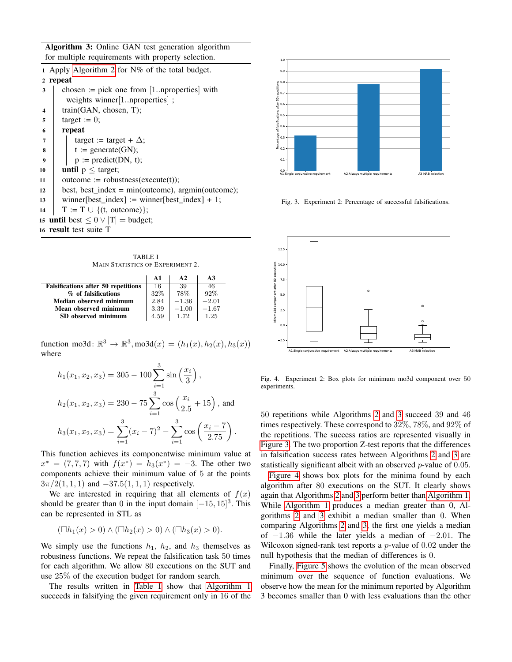Algorithm 3: Online GAN test generation algorithm for multiple requirements with property selection.

|                         | 1 Apply Algorithm 2 for $N\%$ of the total budget.      |  |  |  |  |
|-------------------------|---------------------------------------------------------|--|--|--|--|
| 2                       | repeat                                                  |  |  |  |  |
| 3                       | chosen := pick one from $[1n$ properties with           |  |  |  |  |
|                         | weights winner $[1n$ properties $]$ ;                   |  |  |  |  |
| $\overline{\mathbf{4}}$ | train(GAN, chosen, T);                                  |  |  |  |  |
| 5                       | target := $0$ ;                                         |  |  |  |  |
| 6                       | repeat                                                  |  |  |  |  |
| 7                       | target := target + $\Delta$ ;                           |  |  |  |  |
| 8                       | $t := \text{generate}(GN);$                             |  |  |  |  |
| 9                       | $p := predict(DN, t);$                                  |  |  |  |  |
| 10                      | <b>until</b> $p \leq$ target;                           |  |  |  |  |
| 11                      | $outcome := robustness(execute(t));$                    |  |  |  |  |
| 12                      | best, best_index = $min(outcome)$ , $argmin(outcome)$ ; |  |  |  |  |
| 13                      | winner[best_index] := winner[best_index] + 1;           |  |  |  |  |
| 14                      | $T := T \cup \{(t, outcome)\};$                         |  |  |  |  |
|                         | 15 until best $\leq 0 \vee  T $ = budget;               |  |  |  |  |
| 16 result test suite T  |                                                         |  |  |  |  |
|                         |                                                         |  |  |  |  |

<span id="page-5-0"></span>TABLE I MAIN STATISTICS OF EXPERIMENT 2.

<span id="page-5-1"></span>

|                                            | $\mathbf{A}$ 1 | $\mathbf{A}$ | A3      |
|--------------------------------------------|----------------|--------------|---------|
| <b>Falsifications after 50 repetitions</b> | 16             | 39           | 46      |
| % of falsifications                        | 32%            | 78%          | 92%     |
| Median observed minimum                    | 2.84           | $-1.36$      | $-2.01$ |
| Mean observed minimum                      | 3.39           | $-1.00$      | $-1.67$ |
| SD observed minimum                        | 4.59           | 1.72         | 1.25    |

function mo3d:  $\mathbb{R}^3 \to \mathbb{R}^3$ , mo3d $(x) = (h_1(x), h_2(x), h_3(x))$ where

$$
h_1(x_1, x_2, x_3) = 305 - 100 \sum_{i=1}^3 \sin\left(\frac{x_i}{3}\right),
$$
  
\n
$$
h_2(x_1, x_2, x_3) = 230 - 75 \sum_{i=1}^3 \cos\left(\frac{x_i}{2.5} + 15\right),
$$
 and  
\n
$$
h_3(x_1, x_2, x_3) = \sum_{i=1}^3 (x_i - 7)^2 - \sum_{i=1}^3 \cos\left(\frac{x_i - 7}{2.75}\right).
$$

This function achieves its componentwise minimum value at  $x^* = (7, 7, 7)$  with  $f(x^*) = h_3(x^*) = -3$ . The other two components achieve their minimum value of 5 at the points  $3\pi/2(1, 1, 1)$  and  $-37.5(1, 1, 1)$  respectively.

We are interested in requiring that all elements of  $f(x)$ should be greater than 0 in the input domain  $[-15, 15]^3$ . This can be represented in STL as

$$
(\Box h_1(x) > 0) \land (\Box h_2(x) > 0) \land (\Box h_3(x) > 0).
$$

We simply use the functions  $h_1$ ,  $h_2$ , and  $h_3$  themselves as robustness functions. We repeat the falsification task 50 times for each algorithm. We allow 80 executions on the SUT and use 25% of the execution budget for random search.

The results written in [Table I](#page-5-1) show that [Algorithm 1](#page-2-1) succeeds in falsifying the given requirement only in 16 of the



<span id="page-5-2"></span>Fig. 3. Experiment 2: Percentage of successful falsifications.



<span id="page-5-3"></span>Fig. 4. Experiment 2: Box plots for minimum mo3d component over 50 experiments.

50 repetitions while Algorithms [2](#page-4-2) and [3](#page-5-0) succeed 39 and 46 times respectively. These correspond to 32%, 78%, and 92% of the repetitions. The success ratios are represented visually in [Figure 3.](#page-5-2) The two proportion Z-test reports that the differences in falsification success rates between Algorithms [2](#page-4-2) and [3](#page-5-0) are statistically significant albeit with an observed  $p$ -value of 0.05.

[Figure 4](#page-5-3) shows box plots for the minima found by each algorithm after 80 executions on the SUT. It clearly shows again that Algorithms [2](#page-4-2) and [3](#page-5-0) perform better than [Algorithm 1.](#page-2-1) While [Algorithm 1](#page-2-1) produces a median greater than 0, Algorithms [2](#page-4-2) and [3](#page-5-0) exhibit a median smaller than 0. When comparing Algorithms [2](#page-4-2) and [3,](#page-5-0) the first one yields a median of  $-1.36$  while the later yields a median of  $-2.01$ . The Wilcoxon signed-rank test reports a  $p$ -value of 0.02 under the null hypothesis that the median of differences is 0.

Finally, [Figure 5](#page-6-11) shows the evolution of the mean observed minimum over the sequence of function evaluations. We observe how the mean for the minimum reported by Algorithm 3 becomes smaller than 0 with less evaluations than the other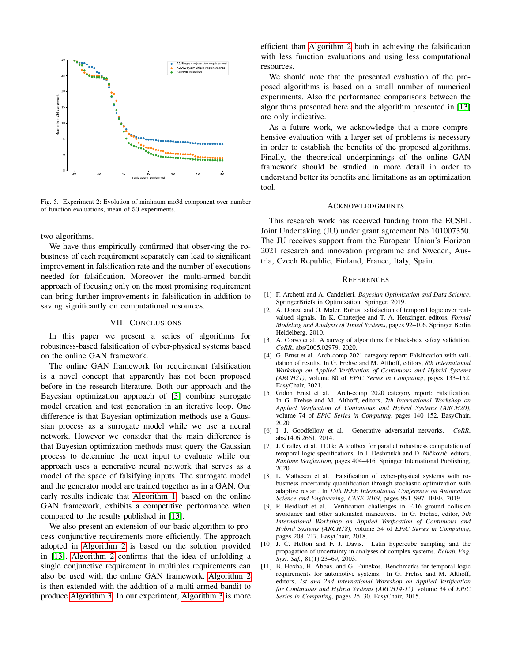

<span id="page-6-11"></span>Fig. 5. Experiment 2: Evolution of minimum mo3d component over number of function evaluations, mean of 50 experiments.

two algorithms.

We have thus empirically confirmed that observing the robustness of each requirement separately can lead to significant improvement in falsification rate and the number of executions needed for falsification. Moreover the multi-armed bandit approach of focusing only on the most promising requirement can bring further improvements in falsification in addition to saving significantly on computational resources.

### VII. CONCLUSIONS

In this paper we present a series of algorithms for robustness-based falsification of cyber-physical systems based on the online GAN framework.

The online GAN framework for requirement falsification is a novel concept that apparently has not been proposed before in the research literature. Both our approach and the Bayesian optimization approach of [\[3\]](#page-6-0) combine surrogate model creation and test generation in an iterative loop. One difference is that Bayesian optimization methods use a Gaussian process as a surrogate model while we use a neural network. However we consider that the main difference is that Bayesian optimization methods must query the Gaussian process to determine the next input to evaluate while our approach uses a generative neural network that serves as a model of the space of falsifying inputs. The surrogate model and the generator model are trained together as in a GAN. Our early results indicate that [Algorithm 1,](#page-2-1) based on the online GAN framework, exhibits a competitive performance when compared to the results published in [\[13\]](#page-7-2).

We also present an extension of our basic algorithm to process conjunctive requirements more efficiently. The approach adopted in [Algorithm 2](#page-4-2) is based on the solution provided in [\[13\]](#page-7-2). [Algorithm 2](#page-4-2) confirms that the idea of unfolding a single conjunctive requirement in multiples requirements can also be used with the online GAN framework. [Algorithm 2](#page-4-2) is then extended with the addition of a multi-armed bandit to produce [Algorithm 3.](#page-5-0) In our experiment, [Algorithm 3](#page-5-0) is more efficient than [Algorithm 2](#page-4-2) both in achieving the falsification with less function evaluations and using less computational resources.

We should note that the presented evaluation of the proposed algorithms is based on a small number of numerical experiments. Also the performance comparisons between the algorithms presented here and the algorithm presented in [\[13\]](#page-7-2) are only indicative.

As a future work, we acknowledge that a more comprehensive evaluation with a larger set of problems is necessary in order to establish the benefits of the proposed algorithms. Finally, the theoretical underpinnings of the online GAN framework should be studied in more detail in order to understand better its benefits and limitations as an optimization tool.

#### ACKNOWLEDGMENTS

This research work has received funding from the ECSEL Joint Undertaking (JU) under grant agreement No 101007350. The JU receives support from the European Union's Horizon 2021 research and innovation programme and Sweden, Austria, Czech Republic, Finland, France, Italy, Spain.

#### **REFERENCES**

- <span id="page-6-4"></span>[1] F. Archetti and A. Candelieri. *Bayesian Optimization and Data Science*. SpringerBriefs in Optimization. Springer, 2019.
- <span id="page-6-1"></span>[2] A. Donzé and O. Maler. Robust satisfaction of temporal logic over realvalued signals. In K. Chatterjee and T. A. Henzinger, editors, *Formal Modeling and Analysis of Timed Systems*, pages 92–106. Springer Berlin Heidelberg, 2010.
- <span id="page-6-0"></span>[3] A. Corso et al. A survey of algorithms for black-box safety validation. *CoRR*, abs/2005.02979, 2020.
- <span id="page-6-10"></span>[4] G. Ernst et al. Arch-comp 2021 category report: Falsification with validation of results. In G. Frehse and M. Althoff, editors, *8th International Workshop on Applied Verification of Continuous and Hybrid Systems (ARCH21)*, volume 80 of *EPiC Series in Computing*, pages 133–152. EasyChair, 2021.
- <span id="page-6-3"></span>[5] Gidon Ernst et al. Arch-comp 2020 category report: Falsification. In G. Frehse and M. Althoff, editors, *7th International Workshop on Applied Verification of Continuous and Hybrid Systems (ARCH20)*, volume 74 of *EPiC Series in Computing*, pages 140–152. EasyChair, 2020.
- <span id="page-6-6"></span>[6] I. J. Goodfellow et al. Generative adversarial networks. *CoRR*, abs/1406.2661, 2014.
- <span id="page-6-7"></span>[7] J. Cralley et al. TLTk: A toolbox for parallel robustness computation of temporal logic specifications. In J. Deshmukh and D. Ničković, editors, *Runtime Verification*, pages 404–416. Springer International Publishing, 2020.
- <span id="page-6-2"></span>[8] L. Mathesen et al. Falsification of cyber-physical systems with robustness uncertainty quantification through stochastic optimization with adaptive restart. In *15th IEEE International Conference on Automation Science and Engineering, CASE 2019*, pages 991–997. IEEE, 2019.
- <span id="page-6-5"></span>[9] P. Heidlauf et al. Verification challenges in F-16 ground collision avoidance and other automated maneuvers. In G. Frehse, editor, *5th International Workshop on Applied Verification of Continuous and Hybrid Systems (ARCH18)*, volume 54 of *EPiC Series in Computing*, pages 208–217. EasyChair, 2018.
- <span id="page-6-8"></span>[10] J. C. Helton and F. J. Davis. Latin hypercube sampling and the propagation of uncertainty in analyses of complex systems. *Reliab. Eng. Syst. Saf.*, 81(1):23–69, 2003.
- <span id="page-6-9"></span>[11] B. Hoxha, H. Abbas, and G. Fainekos. Benchmarks for temporal logic requirements for automotive systems. In G. Frehse and M. Althoff, editors, *1st and 2nd International Workshop on Applied Verification for Continuous and Hybrid Systems (ARCH14-15)*, volume 34 of *EPiC Series in Computing*, pages 25–30. EasyChair, 2015.